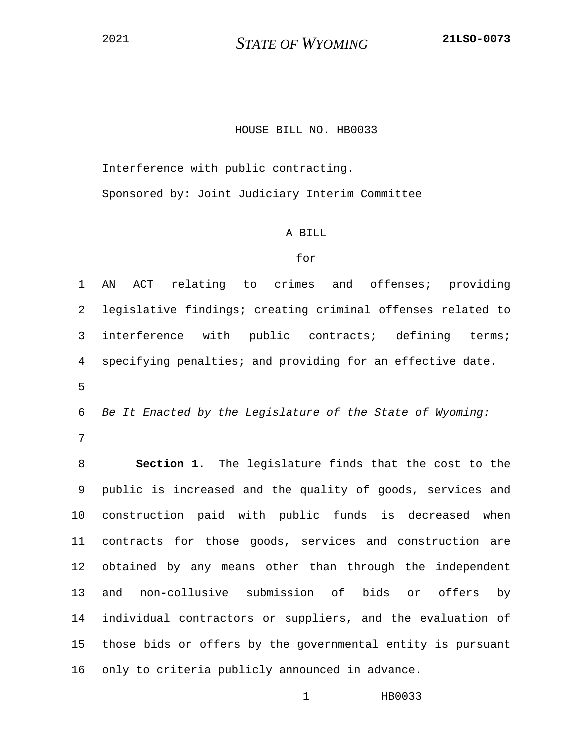## HOUSE BILL NO. HB0033

Interference with public contracting.

Sponsored by: Joint Judiciary Interim Committee

## A BILL

## for

1 AN ACT relating to crimes and offenses; providing 2 legislative findings; creating criminal offenses related to 3 interference with public contracts; defining terms; 4 specifying penalties; and providing for an effective date.

5

6 *Be It Enacted by the Legislature of the State of Wyoming:*

7

8 **Section 1.** The legislature finds that the cost to the 9 public is increased and the quality of goods, services and 10 construction paid with public funds is decreased when 11 contracts for those goods, services and construction are 12 obtained by any means other than through the independent 13 and non**-**collusive submission of bids or offers by 14 individual contractors or suppliers, and the evaluation of 15 those bids or offers by the governmental entity is pursuant 16 only to criteria publicly announced in advance.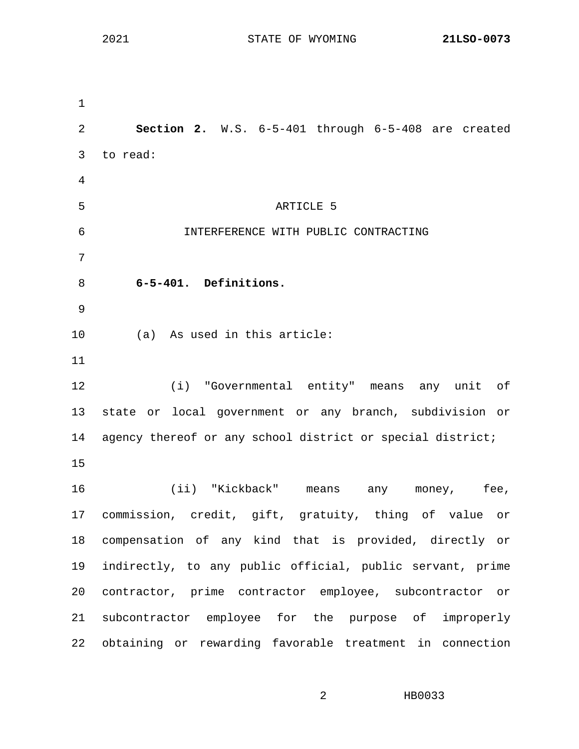1 2 **Section 2.** W.S. 6-5-401 through 6-5-408 are created 3 to read: 4 5 ARTICLE 5 6 INTERFERENCE WITH PUBLIC CONTRACTING 7 8 **6-5-401. Definitions.** 9 10 (a) As used in this article: 11 12 (i) "Governmental entity" means any unit of 13 state or local government or any branch, subdivision or 14 agency thereof or any school district or special district; 15 16 (ii) "Kickback" means any money, fee, 17 commission, credit, gift, gratuity, thing of value or 18 compensation of any kind that is provided, directly or 19 indirectly, to any public official, public servant, prime 20 contractor, prime contractor employee, subcontractor or 21 subcontractor employee for the purpose of improperly 22 obtaining or rewarding favorable treatment in connection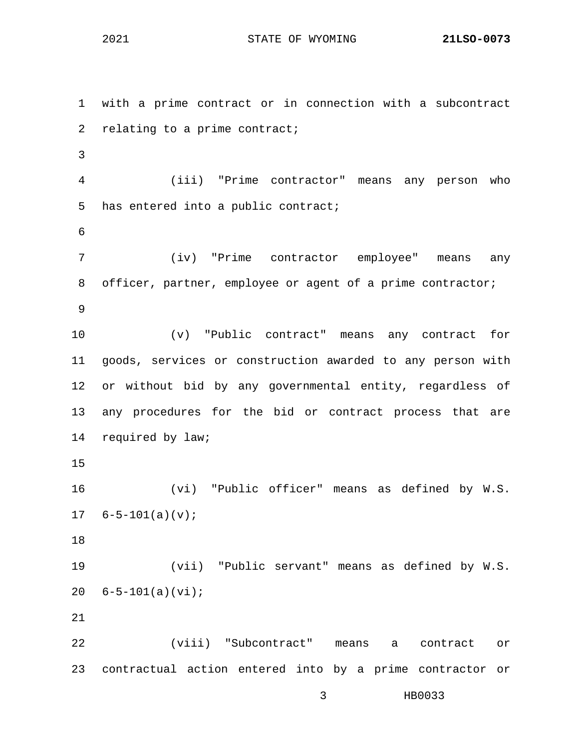1 with a prime contract or in connection with a subcontract 2 relating to a prime contract; 3 4 (iii) "Prime contractor" means any person who 5 has entered into a public contract; 6 7 (iv) "Prime contractor employee" means any 8 officer, partner, employee or agent of a prime contractor; 9 10 (v) "Public contract" means any contract for 11 goods, services or construction awarded to any person with 12 or without bid by any governmental entity, regardless of 13 any procedures for the bid or contract process that are 14 required by law; 15 16 (vi) "Public officer" means as defined by W.S.  $17 \quad 6 - 5 - 101(a)(v);$ 18 19 (vii) "Public servant" means as defined by W.S. 20 6-5-101(a)(vi); 21 22 (viii) "Subcontract" means a contract or 23 contractual action entered into by a prime contractor or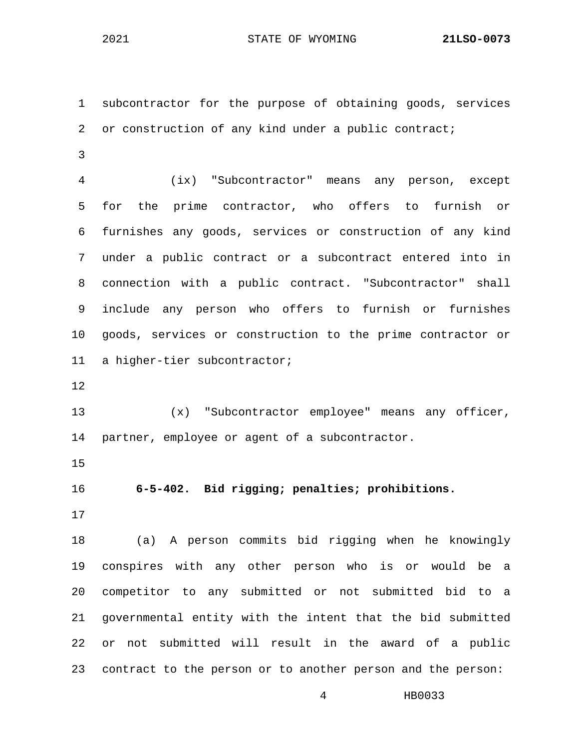1 subcontractor for the purpose of obtaining goods, services 2 or construction of any kind under a public contract;

3

4 (ix) "Subcontractor" means any person, except 5 for the prime contractor, who offers to furnish or 6 furnishes any goods, services or construction of any kind 7 under a public contract or a subcontract entered into in 8 connection with a public contract. "Subcontractor" shall 9 include any person who offers to furnish or furnishes 10 goods, services or construction to the prime contractor or 11 a higher-tier subcontractor;

12

13 (x) "Subcontractor employee" means any officer, 14 partner, employee or agent of a subcontractor.

15

16 **6-5-402. Bid rigging; penalties; prohibitions.**

17

18 (a) A person commits bid rigging when he knowingly 19 conspires with any other person who is or would be a 20 competitor to any submitted or not submitted bid to a 21 governmental entity with the intent that the bid submitted 22 or not submitted will result in the award of a public 23 contract to the person or to another person and the person: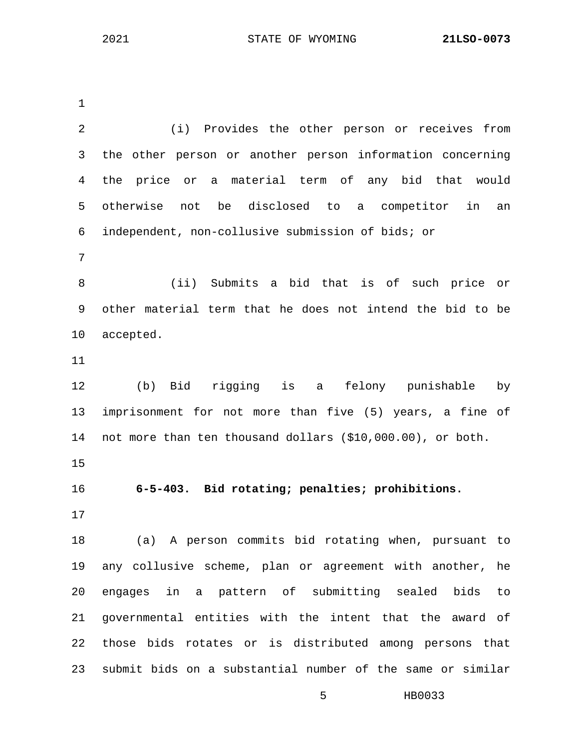1 2 (i) Provides the other person or receives from 3 the other person or another person information concerning 4 the price or a material term of any bid that would 5 otherwise not be disclosed to a competitor in an 6 independent, non-collusive submission of bids; or 7 8 (ii) Submits a bid that is of such price or 9 other material term that he does not intend the bid to be 10 accepted. 11 12 (b) Bid rigging is a felony punishable by 13 imprisonment for not more than five (5) years, a fine of 14 not more than ten thousand dollars (\$10,000.00), or both. 15 16 **6-5-403. Bid rotating; penalties; prohibitions.** 17 18 (a) A person commits bid rotating when, pursuant to 19 any collusive scheme, plan or agreement with another, he 20 engages in a pattern of submitting sealed bids to 21 governmental entities with the intent that the award of 22 those bids rotates or is distributed among persons that 23 submit bids on a substantial number of the same or similar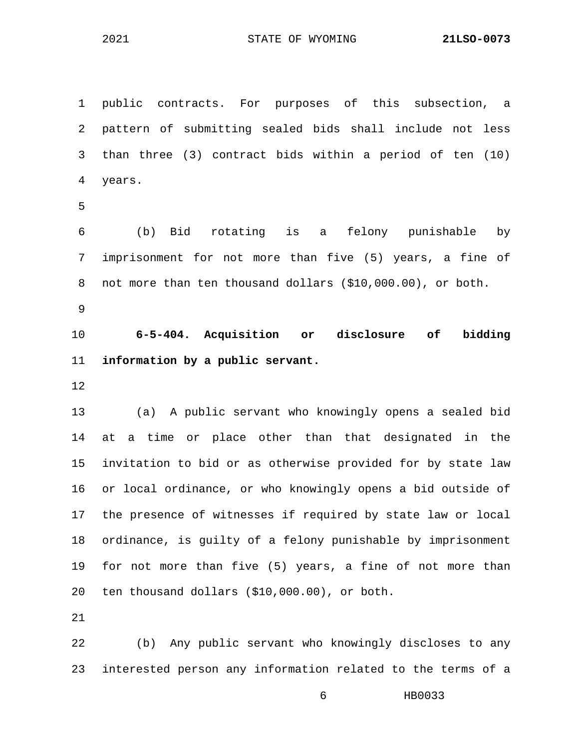1 public contracts. For purposes of this subsection, a 2 pattern of submitting sealed bids shall include not less 3 than three (3) contract bids within a period of ten (10) 4 years.

5

6 (b) Bid rotating is a felony punishable by 7 imprisonment for not more than five (5) years, a fine of 8 not more than ten thousand dollars (\$10,000.00), or both.

9

10 **6-5-404. Acquisition or disclosure of bidding**  11 **information by a public servant.**

12

13 (a) A public servant who knowingly opens a sealed bid 14 at a time or place other than that designated in the 15 invitation to bid or as otherwise provided for by state law 16 or local ordinance, or who knowingly opens a bid outside of 17 the presence of witnesses if required by state law or local 18 ordinance, is guilty of a felony punishable by imprisonment 19 for not more than five (5) years, a fine of not more than 20 ten thousand dollars (\$10,000.00), or both.

21

22 (b) Any public servant who knowingly discloses to any 23 interested person any information related to the terms of a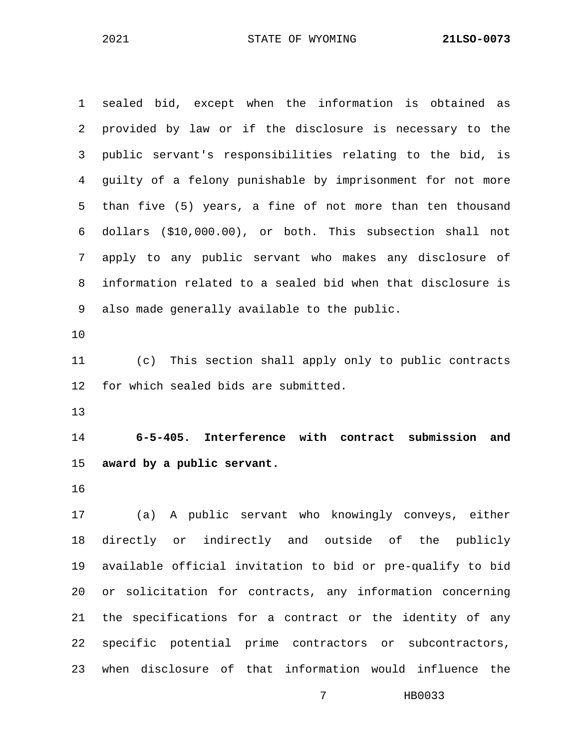1 sealed bid, except when the information is obtained as 2 provided by law or if the disclosure is necessary to the 3 public servant's responsibilities relating to the bid, is 4 guilty of a felony punishable by imprisonment for not more 5 than five (5) years, a fine of not more than ten thousand 6 dollars (\$10,000.00), or both. This subsection shall not 7 apply to any public servant who makes any disclosure of 8 information related to a sealed bid when that disclosure is 9 also made generally available to the public. 10 11 (c) This section shall apply only to public contracts 12 for which sealed bids are submitted. 13 14 **6-5-405. Interference with contract submission and**  15 **award by a public servant.** 16 17 (a) A public servant who knowingly conveys, either 18 directly or indirectly and outside of the publicly 19 available official invitation to bid or pre-qualify to bid 20 or solicitation for contracts, any information concerning

21 the specifications for a contract or the identity of any 22 specific potential prime contractors or subcontractors, 23 when disclosure of that information would influence the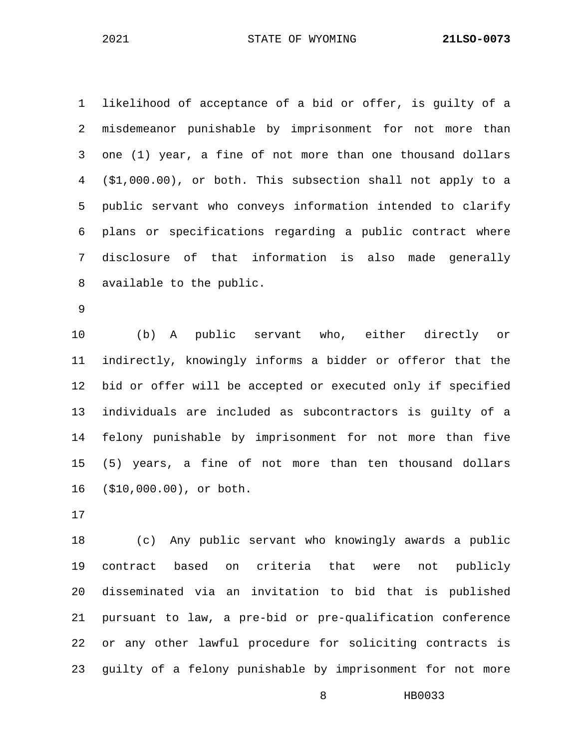1 likelihood of acceptance of a bid or offer, is guilty of a 2 misdemeanor punishable by imprisonment for not more than 3 one (1) year, a fine of not more than one thousand dollars 4 (\$1,000.00), or both. This subsection shall not apply to a 5 public servant who conveys information intended to clarify 6 plans or specifications regarding a public contract where 7 disclosure of that information is also made generally 8 available to the public.

9

10 (b) A public servant who, either directly or 11 indirectly, knowingly informs a bidder or offeror that the 12 bid or offer will be accepted or executed only if specified 13 individuals are included as subcontractors is guilty of a 14 felony punishable by imprisonment for not more than five 15 (5) years, a fine of not more than ten thousand dollars 16 (\$10,000.00), or both.

17

18 (c) Any public servant who knowingly awards a public 19 contract based on criteria that were not publicly 20 disseminated via an invitation to bid that is published 21 pursuant to law, a pre-bid or pre-qualification conference 22 or any other lawful procedure for soliciting contracts is 23 guilty of a felony punishable by imprisonment for not more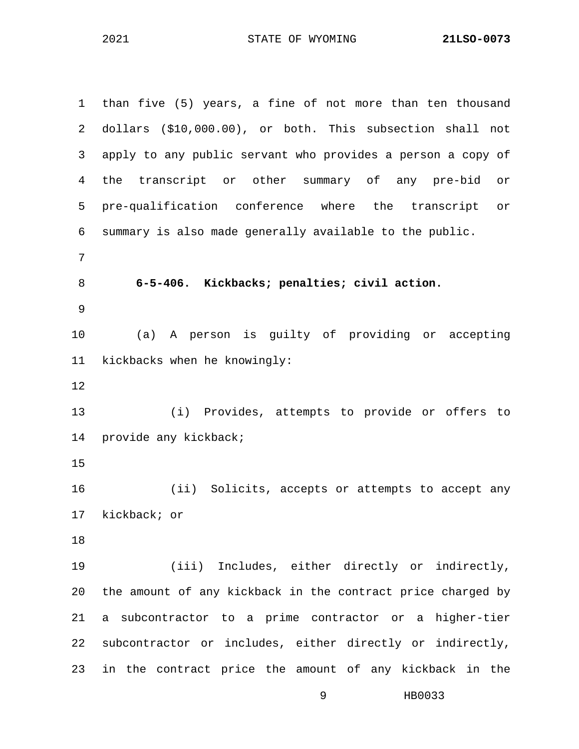1 than five (5) years, a fine of not more than ten thousand 2 dollars (\$10,000.00), or both. This subsection shall not 3 apply to any public servant who provides a person a copy of 4 the transcript or other summary of any pre-bid or 5 pre-qualification conference where the transcript or 6 summary is also made generally available to the public. 7 8 **6-5-406. Kickbacks; penalties; civil action.** 9 10 (a) A person is guilty of providing or accepting 11 kickbacks when he knowingly: 12 13 (i) Provides, attempts to provide or offers to 14 provide any kickback; 15 16 (ii) Solicits, accepts or attempts to accept any 17 kickback; or 18 19 (iii) Includes, either directly or indirectly, 20 the amount of any kickback in the contract price charged by 21 a subcontractor to a prime contractor or a higher-tier 22 subcontractor or includes, either directly or indirectly, 23 in the contract price the amount of any kickback in the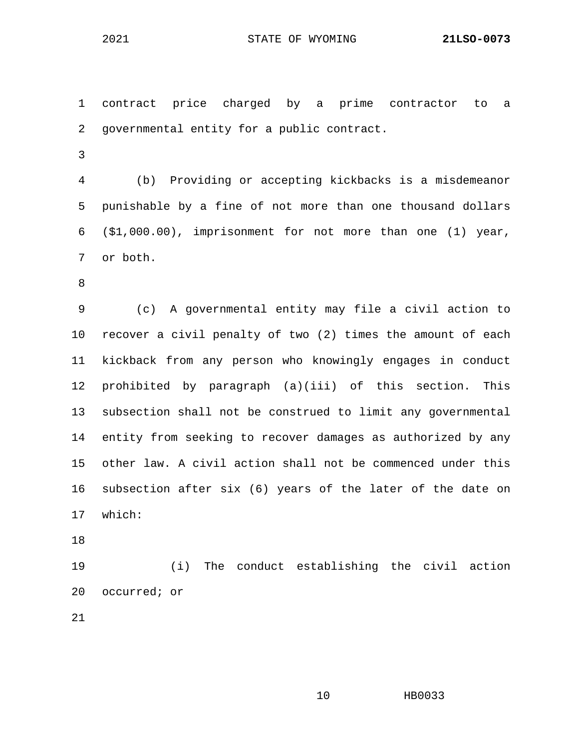1 contract price charged by a prime contractor to a 2 governmental entity for a public contract. 3 4 (b) Providing or accepting kickbacks is a misdemeanor 5 punishable by a fine of not more than one thousand dollars 6 (\$1,000.00), imprisonment for not more than one (1) year, 7 or both. 8 9 (c) A governmental entity may file a civil action to

- 10 recover a civil penalty of two (2) times the amount of each 11 kickback from any person who knowingly engages in conduct 12 prohibited by paragraph (a)(iii) of this section. This 13 subsection shall not be construed to limit any governmental 14 entity from seeking to recover damages as authorized by any 15 other law. A civil action shall not be commenced under this 16 subsection after six (6) years of the later of the date on 17 which:
- 18

19 (i) The conduct establishing the civil action 20 occurred; or

21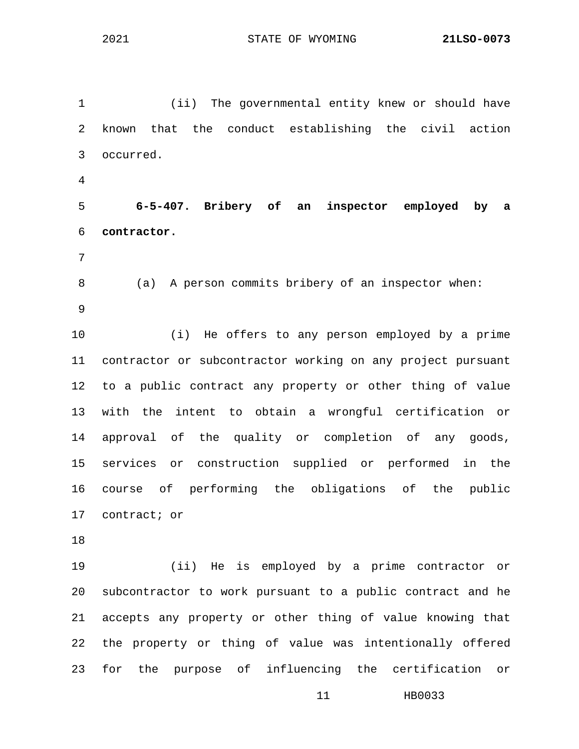1 (ii) The governmental entity knew or should have 2 known that the conduct establishing the civil action 3 occurred. 4 5 **6-5-407. Bribery of an inspector employed by a**  6 **contractor.** 7 8 (a) A person commits bribery of an inspector when: 9 10 (i) He offers to any person employed by a prime 11 contractor or subcontractor working on any project pursuant 12 to a public contract any property or other thing of value 13 with the intent to obtain a wrongful certification or 14 approval of the quality or completion of any goods, 15 services or construction supplied or performed in the 16 course of performing the obligations of the public

17 contract; or

18

19 (ii) He is employed by a prime contractor or 20 subcontractor to work pursuant to a public contract and he 21 accepts any property or other thing of value knowing that 22 the property or thing of value was intentionally offered 23 for the purpose of influencing the certification or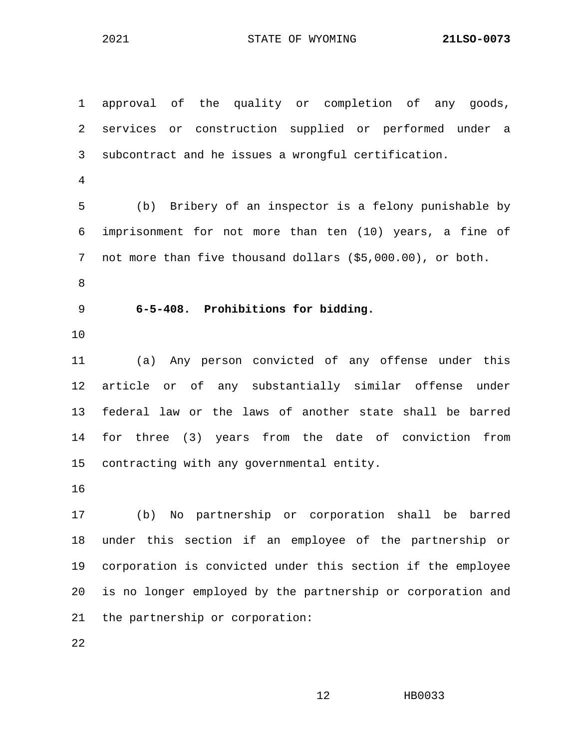1 approval of the quality or completion of any goods, 2 services or construction supplied or performed under a 3 subcontract and he issues a wrongful certification. 4 5 (b) Bribery of an inspector is a felony punishable by 6 imprisonment for not more than ten (10) years, a fine of 7 not more than five thousand dollars (\$5,000.00), or both. 8 9 **6-5-408. Prohibitions for bidding.** 10 11 (a) Any person convicted of any offense under this 12 article or of any substantially similar offense under 13 federal law or the laws of another state shall be barred 14 for three (3) years from the date of conviction from 15 contracting with any governmental entity. 16 17 (b) No partnership or corporation shall be barred 18 under this section if an employee of the partnership or 19 corporation is convicted under this section if the employee 20 is no longer employed by the partnership or corporation and 21 the partnership or corporation:

22